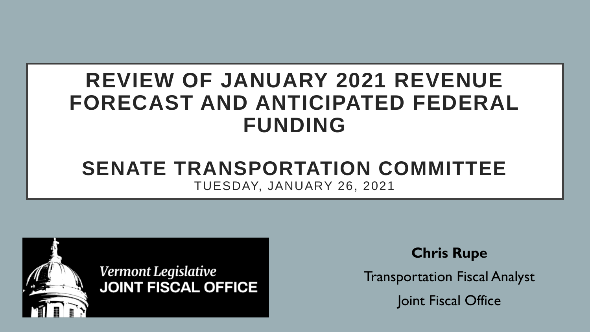# **REVIEW OF JANUARY 2021 REVENUE FORECAST AND ANTICIPATED FEDERAL FUNDING**

#### **SENATE TRANSPORTATION COMMITTEE** TUESDAY, JANUARY 26, 2021



**Chris Rupe**

Transportation Fiscal Analyst

Joint Fiscal Office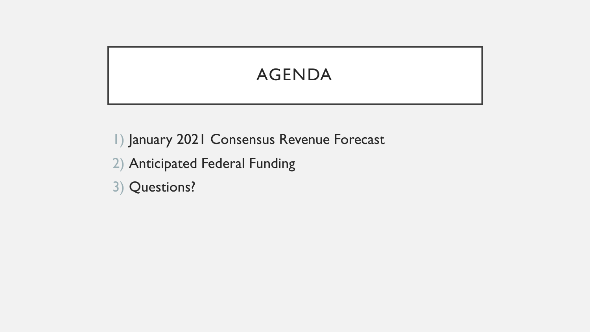# AGENDA

1) January 2021 Consensus Revenue Forecast

- 2) Anticipated Federal Funding
- 3) Questions?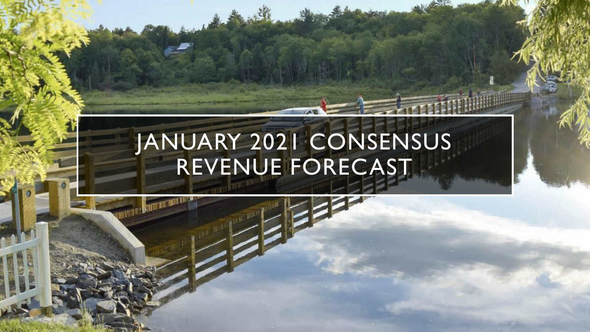# JANUARY 2021 CONSENSUS REVENUE FORECAST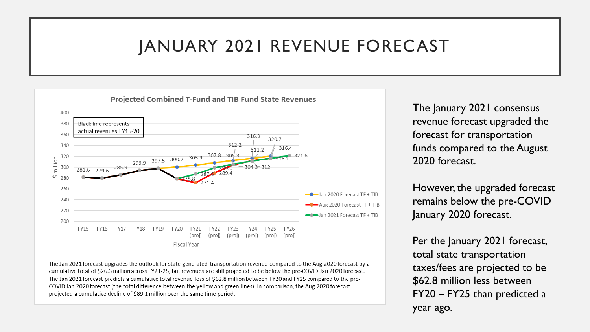**Projected Combined T-Fund and TIB Fund State Revenues**  $400$ **Black line represents** 380 actual revenues FY15-20 360 316.3 320.7 312.2 340  $316.4$ 311.2 293.9 297.5 300.2 303.9  $307.8$  305  $\begin{array}{r}\n 5 \overline{)320} \\
\hline\n 6 \overline{)300}\n \end{array}$ 320 285.9 304.3-312 279.6  $40 - 280$ 260  $\bullet$  Jan 2020 Forecast TF + TIB 240 Aug 2020 Forecast TF + TIB 220 - Jan 2021 Forecast TF + TIB 200 **FY22 FY15 FY16 FY18** FY19 **FY20 FY21 FY26** FY17 (proj) (proj) (proj) (proj) (proj) (proj) **Fiscal Year** 

The Jan 2021 forecast upgrades the outlook for state-generated transportation revenue compared to the Aug 2020 forecast by a cumulative total of \$26.3 million across FY21-25, but revenues are still projected to be below the pre-COVID Jan 2020 forecast. The Jan 2021 forecast predicts a cumulative total revenue loss of \$62.8 million between FY20 and FY25 compared to the pre-COVID Jan 2020 forecast (the total difference between the yellow and green lines). In comparison, the Aug 2020 forecast projected a cumulative decline of \$89.1 million over the same time period.

The January 2021 consensus revenue forecast upgraded the forecast for transportation funds compared to the August 2020 forecast.

However, the upgraded forecast remains below the pre-COVID January 2020 forecast.

Per the January 2021 forecast, total state transportation taxes/fees are projected to be \$62.8 million less between FY20 – FY25 than predicted a year ago.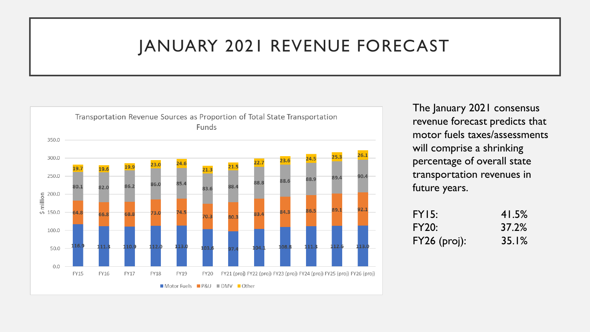

The January 2021 consensus revenue forecast predicts that motor fuels taxes/assessments will comprise a shrinking percentage of overall state transportation revenues in future years.

| FY15:          | 41.5% |
|----------------|-------|
| <b>FY20:</b>   | 37.2% |
| $FY26$ (proj): | 35.1% |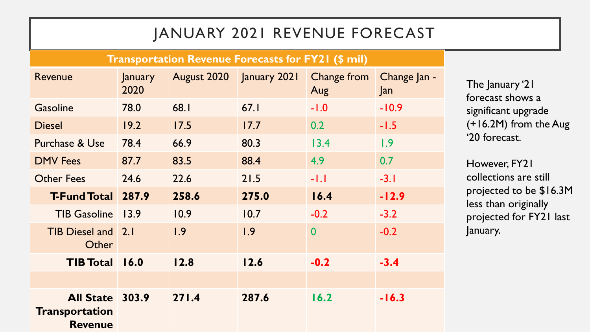#### **Transportation Revenue Forecasts for FY21 (\$ mil)**

| Revenue                                                    | January<br>2020 | August 2020 | January 2021 | Change from<br>Aug | Change Jan -<br>$\vert$ an |
|------------------------------------------------------------|-----------------|-------------|--------------|--------------------|----------------------------|
| <b>Gasoline</b>                                            | 78.0            | 68.I        | 67.1         | $-1.0$             | $-10.9$                    |
| <b>Diesel</b>                                              | 19.2            | 17.5        | 17.7         | 0.2                | $-1.5$                     |
| Purchase & Use                                             | 78.4            | 66.9        | 80.3         | 13.4               | 1.9                        |
| <b>DMV</b> Fees                                            | 87.7            | 83.5        | 88.4         | 4.9                | 0.7                        |
| <b>Other Fees</b>                                          | 24.6            | 22.6        | 21.5         | $-1.1$             | $-3.1$                     |
| <b>T-Fund Total</b>                                        | 287.9           | 258.6       | 275.0        | 16.4               | $-12.9$                    |
| <b>TIB Gasoline</b>                                        | 13.9            | 10.9        | 10.7         | $-0.2$             | $-3.2$                     |
| TIB Diesel and 2.1<br>Other                                |                 | 1.9         | 1.9          | $\bf{0}$           | $-0.2$                     |
| <b>TIB Total</b>                                           | 16.0            | 12.8        | 12.6         | $-0.2$             | $-3.4$                     |
|                                                            |                 |             |              |                    |                            |
| All State 303.9<br><b>Transportation</b><br><b>Revenue</b> |                 | 271.4       | 287.6        | 16.2               | $-16.3$                    |

The January '21 forecast shows a significant upgrade (+16.2M) from the Aug '20 forecast.

However, FY21 collections are still projected to be \$16.3M less than originally projected for FY21 last January.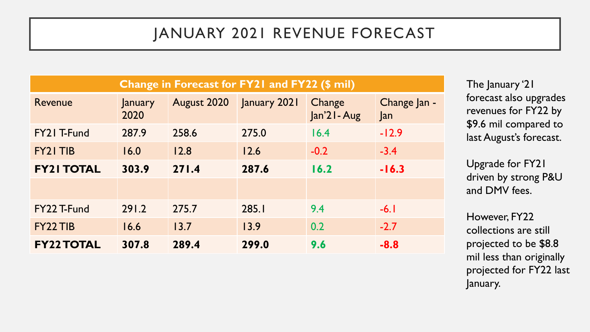| Change in Forecast for FY21 and FY22 (\$ mil) |                 |             |              |                        |                     |
|-----------------------------------------------|-----------------|-------------|--------------|------------------------|---------------------|
| Revenue                                       | January<br>2020 | August 2020 | January 2021 | Change<br>Jan'21 - Aug | Change Jan -<br>Jan |
| FY21 T-Fund                                   | 287.9           | 258.6       | 275.0        | 16.4                   | $-12.9$             |
| FY21 TIB                                      | 16.0            | 12.8        | 12.6         | $-0.2$                 | $-3.4$              |
| <b>FY21 TOTAL</b>                             | 303.9           | 271.4       | 287.6        | 16.2                   | $-16.3$             |
|                                               |                 |             |              |                        |                     |
| FY22 T-Fund                                   | 291.2           | 275.7       | 285.1        | 9.4                    | $-6.1$              |
| FY22 TIB                                      | 16.6            | 13.7        | 13.9         | 0.2                    | $-2.7$              |
| <b>FY22 TOTAL</b>                             | 307.8           | 289.4       | 299.0        | 9.6                    | $-8.8$              |

The January '21 forecast also upgrades revenues for FY22 by \$9.6 mil compared to last August's forecast.

Upgrade for FY21 driven by strong P&U and DMV fees.

However, FY22 collections are still projected to be \$8.8 mil less than originally projected for FY22 last January.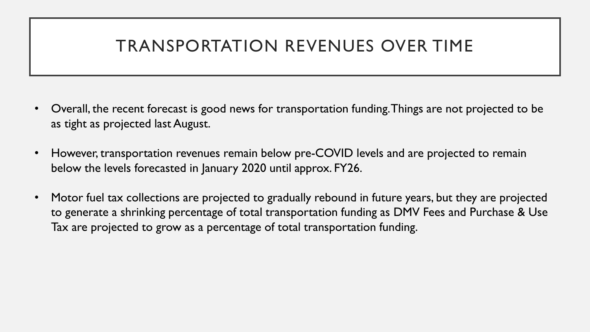### TRANSPORTATION REVENUES OVER TIME

- Overall, the recent forecast is good news for transportation funding. Things are not projected to be as tight as projected last August.
- However, transportation revenues remain below pre-COVID levels and are projected to remain below the levels forecasted in January 2020 until approx. FY26.
- Motor fuel tax collections are projected to gradually rebound in future years, but they are projected to generate a shrinking percentage of total transportation funding as DMV Fees and Purchase & Use Tax are projected to grow as a percentage of total transportation funding.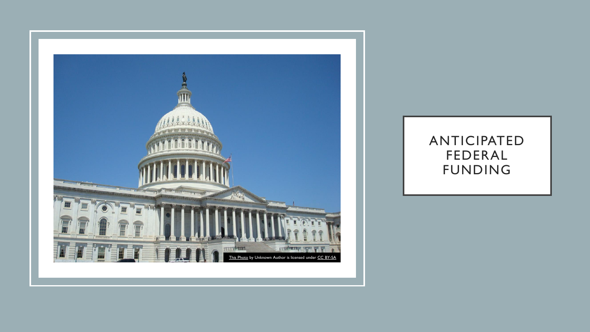

#### ANTICIPATED FEDERAL FUNDING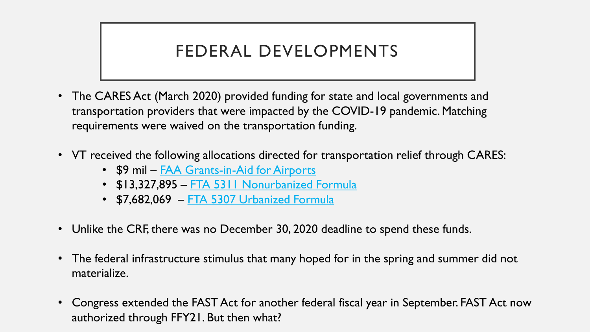### FEDERAL DEVELOPMENTS

- The CARES Act (March 2020) provided funding for state and local governments and transportation providers that were impacted by the COVID-19 pandemic. Matching requirements were waived on the transportation funding.
- VT received the following allocations directed for transportation relief through CARES:
	- \$9 mil [FAA Grants-in-Aid for Airports](https://www.faa.gov/airports/cares_act/)
	- \$13,327,895 [FTA 5311 Nonurbanized Formula](https://www.transit.dot.gov/cares-act)
	- \$7,682,069 [FTA 5307 Urbanized Formula](https://www.transit.dot.gov/cares-act)
- Unlike the CRF, there was no December 30, 2020 deadline to spend these funds.
- The federal infrastructure stimulus that many hoped for in the spring and summer did not materialize.
- Congress extended the FAST Act for another federal fiscal year in September. FAST Act now authorized through FFY21. But then what?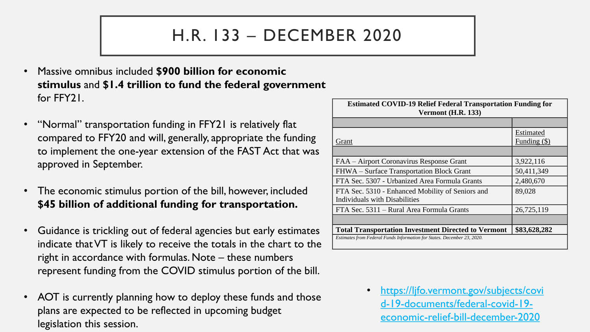#### H.R. 133 – DECEMBER 2020

- Massive omnibus included **\$900 billion for economic stimulus** and **\$1.4 trillion to fund the federal government** for FFY21.
- "Normal" transportation funding in FFY21 is relatively flat compared to FFY20 and will, generally, appropriate the funding to implement the one-year extension of the FAST Act that was approved in September.
- The economic stimulus portion of the bill, however, included **\$45 billion of additional funding for transportation.**
- Guidance is trickling out of federal agencies but early estimates indicate that VT is likely to receive the totals in the chart to the right in accordance with formulas. Note – these numbers represent funding from the COVID stimulus portion of the bill.
- AOT is currently planning how to deploy these funds and those plans are expected to be reflected in upcoming budget legislation this session.

| <b>Estimated COVID-19 Relief Federal Transportation Funding for</b><br><b>Vermont (H.R. 133)</b> |                             |  |  |
|--------------------------------------------------------------------------------------------------|-----------------------------|--|--|
|                                                                                                  |                             |  |  |
| Grant                                                                                            | Estimated<br>Funding $(\$)$ |  |  |
|                                                                                                  |                             |  |  |
| FAA – Airport Coronavirus Response Grant                                                         | 3,922,116                   |  |  |
| FHWA – Surface Transportation Block Grant                                                        | 50,411,349                  |  |  |
| FTA Sec. 5307 - Urbanized Area Formula Grants                                                    | 2,480,670                   |  |  |
| FTA Sec. 5310 - Enhanced Mobility of Seniors and<br>Individuals with Disabilities                | 89,028                      |  |  |
| FTA Sec. 5311 – Rural Area Formula Grants                                                        | 26,725,119                  |  |  |
|                                                                                                  |                             |  |  |
| <b>Total Transportation Investment Directed to Vermont</b>                                       | \$83,628,282                |  |  |
| Estimates from Federal Funds Information for States. December 23, 2020.                          |                             |  |  |

• https://ljfo.vermont.gov/subjects/covi [d-19-documents/federal-covid-19](https://ljfo.vermont.gov/subjects/covid-19-documents/federal-covid-19-economic-relief-bill-december-2020) economic-relief-bill-december-2020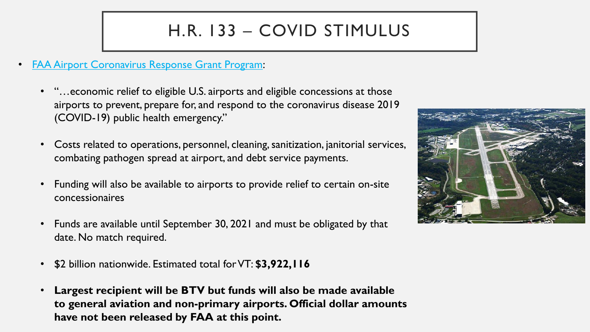# H.R. 133 – COVID STIMULUS

- [FAA Airport Coronavirus Response Grant Program:](https://www.faa.gov/airports/crrsaa/)
	- "…economic relief to eligible U.S. airports and eligible concessions at those airports to prevent, prepare for, and respond to the coronavirus disease 2019 (COVID-19) public health emergency."
	- Costs related to operations, personnel, cleaning, sanitization, janitorial services, combating pathogen spread at airport, and debt service payments.
	- Funding will also be available to airports to provide relief to certain on-site concessionaires
	- Funds are available until September 30, 2021 and must be obligated by that date. No match required.
	- \$2 billion nationwide. Estimated total for VT: **\$3,922,116**
	- **Largest recipient will be BTV but funds will also be made available to general aviation and non-primary airports. Official dollar amounts have not been released by FAA at this point.**

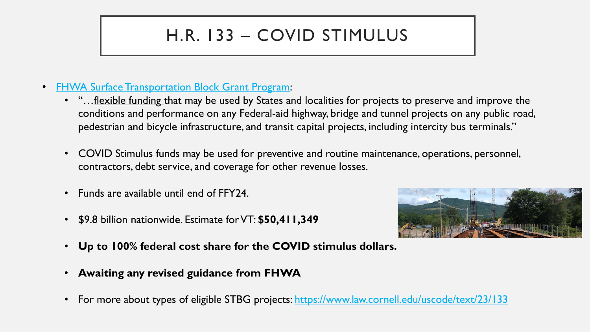## H.R. 133 – COVID STIMULUS

- [FHWA Surface Transportation Block Grant Program:](https://www.fhwa.dot.gov/specialfunding/stp/)
	- "...flexible funding that may be used by States and localities for projects to preserve and improve the conditions and performance on any Federal-aid highway, bridge and tunnel projects on any public road, pedestrian and bicycle infrastructure, and transit capital projects, including intercity bus terminals."
	- COVID Stimulus funds may be used for preventive and routine maintenance, operations, personnel, contractors, debt service, and coverage for other revenue losses.
	- Funds are available until end of FFY24.
	- \$9.8 billion nationwide. Estimate for VT: **\$50,411,349**



- **Up to 100% federal cost share for the COVID stimulus dollars.**
- **Awaiting any revised guidance from FHWA**
- For more about types of eligible STBG projects:<https://www.law.cornell.edu/uscode/text/23/133>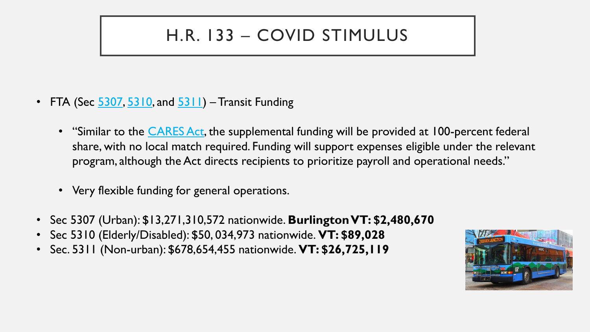### H.R. 133 – COVID STIMULUS

- FTA (Sec  $\frac{5307}{5310}$ , and  $\frac{5311}{5311}$ ) Transit Funding
	- "Similar to the **[CARES Act](https://www.transit.dot.gov/cares-act)**, the supplemental funding will be provided at 100-percent federal share, with no local match required. Funding will support expenses eligible under the relevant program, although the Act directs recipients to prioritize payroll and operational needs."
	- Very flexible funding for general operations.
- Sec 5307 (Urban): \$13,271,310,572 nationwide. **Burlington VT: \$2,480,670**
- Sec 5310 (Elderly/Disabled): \$50, 034,973 nationwide. **VT: \$89,028**
- Sec. 5311 (Non-urban): \$678,654,455 nationwide. **VT: \$26,725,119**

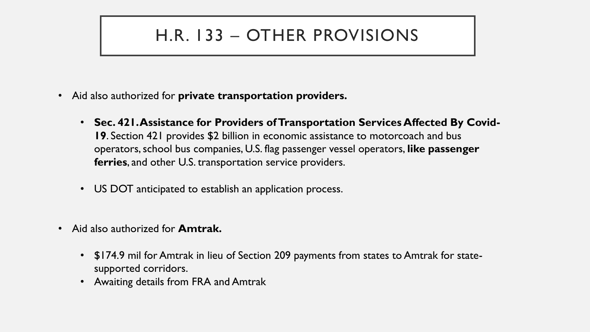### H.R. 133 – OTHER PROVISIONS

- Aid also authorized for **private transportation providers.**
	- **Sec. 421. Assistance for Providers of Transportation Services Affected By Covid-19**. Section 421 provides \$2 billion in economic assistance to motorcoach and bus operators, school bus companies, U.S. flag passenger vessel operators, **like passenger ferries**, and other U.S. transportation service providers.
	- US DOT anticipated to establish an application process.
- Aid also authorized for **Amtrak.**
	- \$174.9 mil for Amtrak in lieu of Section 209 payments from states to Amtrak for statesupported corridors.
	- Awaiting details from FRA and Amtrak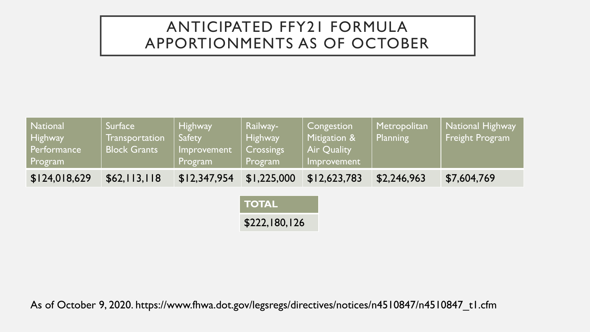#### ANTICIPATED FFY21 FORMULA APPORTIONMENTS AS OF OCTOBER

| <b>National</b><br>Highway<br>Performance<br>Program | Surface<br><b>Transportation</b><br><b>Block Grants</b> | <b>Highway</b><br><b>Safety</b><br>Improvement<br>Program | Railway-<br><b>Highway</b><br>Crossings<br>Program | Congestion<br>Mitigation &<br>Air Quality<br>Improvement | Metropolitan<br>Planning | National Highway<br><b>Freight Program</b> |
|------------------------------------------------------|---------------------------------------------------------|-----------------------------------------------------------|----------------------------------------------------|----------------------------------------------------------|--------------------------|--------------------------------------------|
| \$124,018,629                                        | \$62,113,118                                            | \$12,347,954                                              | \$1,225,000                                        | \$12,623,783                                             | \$2,246,963              | \$7,604,769                                |

**TOTAL** \$222,180,126

As of October 9, 2020. https://www.fhwa.dot.gov/legsregs/directives/notices/n4510847/n4510847\_t1.cfm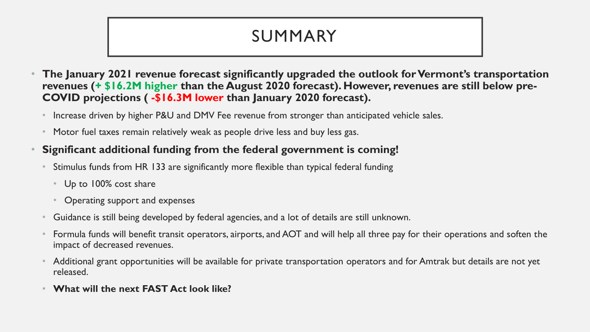### SUMMARY

- **The January 2021 revenue forecast significantly upgraded the outlook for Vermont's transportation revenues (+ \$16.2M higher than the August 2020 forecast). However, revenues are still below pre-COVID projections ( -\$16.3M lower than January 2020 forecast).**
	- Increase driven by higher P&U and DMV Fee revenue from stronger than anticipated vehicle sales.
	- Motor fuel taxes remain relatively weak as people drive less and buy less gas.

#### • **Significant additional funding from the federal government is coming!**

- Stimulus funds from HR 133 are significantly more flexible than typical federal funding
	- Up to 100% cost share
	- Operating support and expenses
- Guidance is still being developed by federal agencies, and a lot of details are still unknown.
- Formula funds will benefit transit operators, airports, and AOT and will help all three pay for their operations and soften the impact of decreased revenues.
- Additional grant opportunities will be available for private transportation operators and for Amtrak but details are not yet released.
- **What will the next FAST Act look like?**